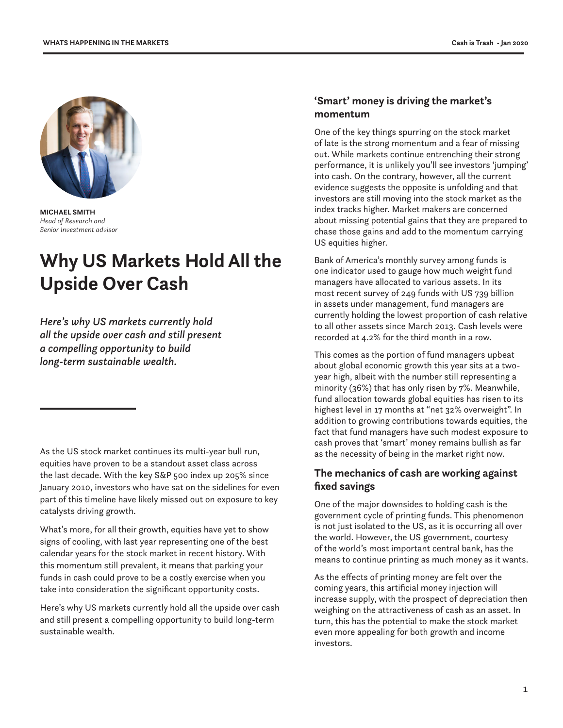

**MICHAEL SMITH** *Head of Research and Senior Investment advisor*

# **Why US Markets Hold All the Upside Over Cash**

*Here's why US markets currently hold all the upside over cash and still present a compelling opportunity to build long-term sustainable wealth.*

As the US stock market continues its multi-year bull run, equities have proven to be a standout asset class across the last decade. With the key S&P 500 index up 205% since January 2010, investors who have sat on the sidelines for even part of this timeline have likely missed out on exposure to key catalysts driving growth.

What's more, for all their growth, equities have yet to show signs of cooling, with last year representing one of the best calendar years for the stock market in recent history. With this momentum still prevalent, it means that parking your funds in cash could prove to be a costly exercise when you take into consideration the significant opportunity costs.

Here's why US markets currently hold all the upside over cash and still present a compelling opportunity to build long-term sustainable wealth.

## **'Smart' money is driving the market's momentum**

One of the key things spurring on the stock market of late is the strong momentum and a fear of missing out. While markets continue entrenching their strong performance, it is unlikely you'll see investors 'jumping' into cash. On the contrary, however, all the current evidence suggests the opposite is unfolding and that investors are still moving into the stock market as the index tracks higher. Market makers are concerned about missing potential gains that they are prepared to chase those gains and add to the momentum carrying US equities higher.

Bank of America's monthly survey among funds is one indicator used to gauge how much weight fund managers have allocated to various assets. In its most recent survey of 249 funds with US 739 billion in assets under management, fund managers are currently holding the lowest proportion of cash relative to all other assets since March 2013. Cash levels were recorded at 4.2% for the third month in a row.

This comes as the portion of fund managers upbeat about global economic growth this year sits at a twoyear high, albeit with the number still representing a minority (36%) that has only risen by 7%. Meanwhile, fund allocation towards global equities has risen to its highest level in 17 months at "net 32% overweight". In addition to growing contributions towards equities, the fact that fund managers have such modest exposure to cash proves that 'smart' money remains bullish as far as the necessity of being in the market right now.

## **The mechanics of cash are working against fixed savings**

One of the major downsides to holding cash is the government cycle of printing funds. This phenomenon is not just isolated to the US, as it is occurring all over the world. However, the US government, courtesy of the world's most important central bank, has the means to continue printing as much money as it wants.

As the effects of printing money are felt over the coming years, this artificial money injection will increase supply, with the prospect of depreciation then weighing on the attractiveness of cash as an asset. In turn, this has the potential to make the stock market even more appealing for both growth and income investors.